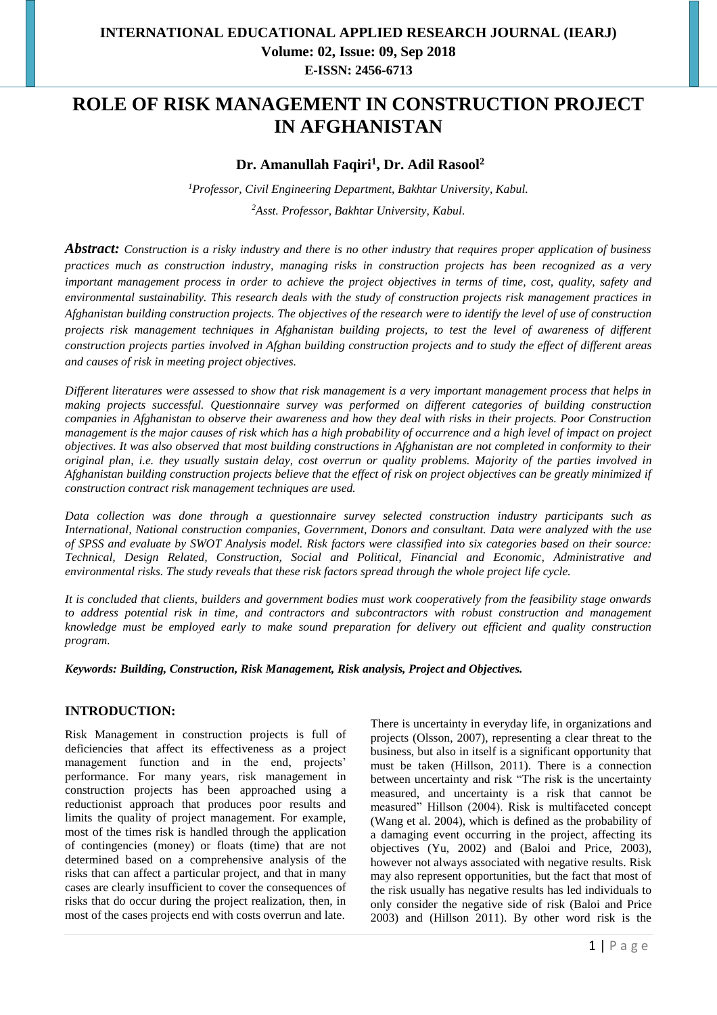# **ROLE OF RISK MANAGEMENT IN CONSTRUCTION PROJECT IN AFGHANISTAN**

## **Dr. Amanullah Faqiri<sup>1</sup> , Dr. Adil Rasool<sup>2</sup>**

*<sup>1</sup>Professor, Civil Engineering Department, Bakhtar University, Kabul. <sup>2</sup>Asst. Professor, Bakhtar University, Kabul.*

*Abstract: Construction is a risky industry and there is no other industry that requires proper application of business practices much as construction industry, managing risks in construction projects has been recognized as a very important management process in order to achieve the project objectives in terms of time, cost, quality, safety and environmental sustainability. This research deals with the study of construction projects risk management practices in Afghanistan building construction projects. The objectives of the research were to identify the level of use of construction projects risk management techniques in Afghanistan building projects, to test the level of awareness of different construction projects parties involved in Afghan building construction projects and to study the effect of different areas and causes of risk in meeting project objectives.* 

*Different literatures were assessed to show that risk management is a very important management process that helps in making projects successful. Questionnaire survey was performed on different categories of building construction companies in Afghanistan to observe their awareness and how they deal with risks in their projects. Poor Construction management is the major causes of risk which has a high probability of occurrence and a high level of impact on project objectives. It was also observed that most building constructions in Afghanistan are not completed in conformity to their original plan, i.e. they usually sustain delay, cost overrun or quality problems. Majority of the parties involved in Afghanistan building construction projects believe that the effect of risk on project objectives can be greatly minimized if construction contract risk management techniques are used.* 

*Data collection was done through a questionnaire survey selected construction industry participants such as International, National construction companies, Government, Donors and consultant. Data were analyzed with the use of SPSS and evaluate by SWOT Analysis model. Risk factors were classified into six categories based on their source: Technical, Design Related, Construction, Social and Political, Financial and Economic, Administrative and environmental risks. The study reveals that these risk factors spread through the whole project life cycle.*

*It is concluded that clients, builders and government bodies must work cooperatively from the feasibility stage onwards to address potential risk in time, and contractors and subcontractors with robust construction and management knowledge must be employed early to make sound preparation for delivery out efficient and quality construction program.* 

*Keywords: Building, Construction, Risk Management, Risk analysis, Project and Objectives.* 

#### **INTRODUCTION:**

Risk Management in construction projects is full of deficiencies that affect its effectiveness as a project management function and in the end, projects' performance. For many years, risk management in construction projects has been approached using a reductionist approach that produces poor results and limits the quality of project management. For example, most of the times risk is handled through the application of contingencies (money) or floats (time) that are not determined based on a comprehensive analysis of the risks that can affect a particular project, and that in many cases are clearly insufficient to cover the consequences of risks that do occur during the project realization, then, in most of the cases projects end with costs overrun and late.

There is uncertainty in everyday life, in organizations and projects (Olsson, 2007), representing a clear threat to the business, but also in itself is a significant opportunity that must be taken (Hillson, 2011). There is a connection between uncertainty and risk "The risk is the uncertainty measured, and uncertainty is a risk that cannot be measured" Hillson (2004). Risk is multifaceted concept (Wang et al. 2004), which is defined as the probability of a damaging event occurring in the project, affecting its objectives (Yu, 2002) and (Baloi and Price, 2003), however not always associated with negative results. Risk may also represent opportunities, but the fact that most of the risk usually has negative results has led individuals to only consider the negative side of risk (Baloi and Price 2003) and (Hillson 2011). By other word risk is the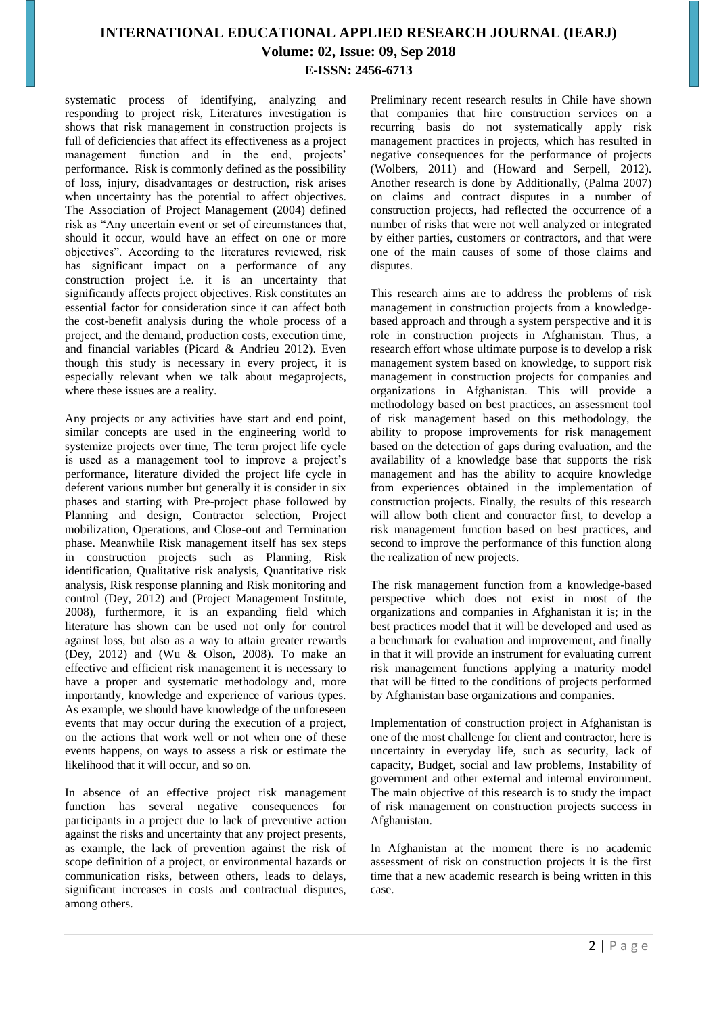systematic process of identifying, analyzing and responding to project risk, Literatures investigation is shows that risk management in construction projects is full of deficiencies that affect its effectiveness as a project management function and in the end, projects' performance. Risk is commonly defined as the possibility of loss, injury, disadvantages or destruction, risk arises when uncertainty has the potential to affect objectives. The Association of Project Management (2004) defined risk as "Any uncertain event or set of circumstances that, should it occur, would have an effect on one or more objectives". According to the literatures reviewed, risk has significant impact on a performance of any construction project i.e. it is an uncertainty that significantly affects project objectives. Risk constitutes an essential factor for consideration since it can affect both the cost-benefit analysis during the whole process of a project, and the demand, production costs, execution time, and financial variables (Picard & Andrieu 2012). Even though this study is necessary in every project, it is especially relevant when we talk about megaprojects, where these issues are a reality.

Any projects or any activities have start and end point, similar concepts are used in the engineering world to systemize projects over time, The term project life cycle is used as a management tool to improve a project's performance, literature divided the project life cycle in deferent various number but generally it is consider in six phases and starting with Pre-project phase followed by Planning and design, Contractor selection, Project mobilization, Operations, and Close-out and Termination phase. Meanwhile Risk management itself has sex steps in construction projects such as Planning, Risk identification, Qualitative risk analysis, Quantitative risk analysis, Risk response planning and Risk monitoring and control (Dey, 2012) and (Project Management Institute, 2008), furthermore, it is an expanding field which literature has shown can be used not only for control against loss, but also as a way to attain greater rewards (Dey, 2012) and (Wu & Olson, 2008). To make an effective and efficient risk management it is necessary to have a proper and systematic methodology and, more importantly, knowledge and experience of various types. As example, we should have knowledge of the unforeseen events that may occur during the execution of a project, on the actions that work well or not when one of these events happens, on ways to assess a risk or estimate the likelihood that it will occur, and so on.

In absence of an effective project risk management function has several negative consequences for participants in a project due to lack of preventive action against the risks and uncertainty that any project presents, as example, the lack of prevention against the risk of scope definition of a project, or environmental hazards or communication risks, between others, leads to delays, significant increases in costs and contractual disputes, among others.

Preliminary recent research results in Chile have shown that companies that hire construction services on a recurring basis do not systematically apply risk management practices in projects, which has resulted in negative consequences for the performance of projects (Wolbers, 2011) and (Howard and Serpell, 2012). Another research is done by Additionally, (Palma 2007) on claims and contract disputes in a number of construction projects, had reflected the occurrence of a number of risks that were not well analyzed or integrated by either parties, customers or contractors, and that were one of the main causes of some of those claims and disputes.

This research aims are to address the problems of risk management in construction projects from a knowledgebased approach and through a system perspective and it is role in construction projects in Afghanistan. Thus, a research effort whose ultimate purpose is to develop a risk management system based on knowledge, to support risk management in construction projects for companies and organizations in Afghanistan. This will provide a methodology based on best practices, an assessment tool of risk management based on this methodology, the ability to propose improvements for risk management based on the detection of gaps during evaluation, and the availability of a knowledge base that supports the risk management and has the ability to acquire knowledge from experiences obtained in the implementation of construction projects. Finally, the results of this research will allow both client and contractor first, to develop a risk management function based on best practices, and second to improve the performance of this function along the realization of new projects.

The risk management function from a knowledge-based perspective which does not exist in most of the organizations and companies in Afghanistan it is; in the best practices model that it will be developed and used as a benchmark for evaluation and improvement, and finally in that it will provide an instrument for evaluating current risk management functions applying a maturity model that will be fitted to the conditions of projects performed by Afghanistan base organizations and companies.

Implementation of construction project in Afghanistan is one of the most challenge for client and contractor, here is uncertainty in everyday life, such as security, lack of capacity, Budget, social and law problems, Instability of government and other external and internal environment. The main objective of this research is to study the impact of risk management on construction projects success in Afghanistan.

In Afghanistan at the moment there is no academic assessment of risk on construction projects it is the first time that a new academic research is being written in this case.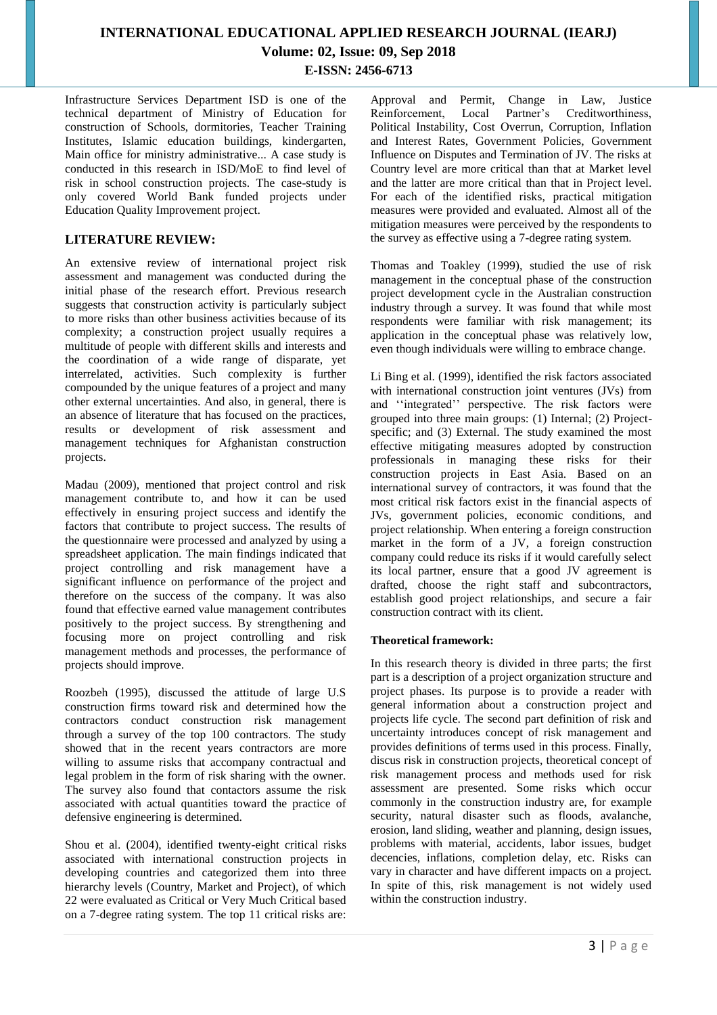Infrastructure Services Department ISD is one of the technical department of Ministry of Education for construction of Schools, dormitories, Teacher Training Institutes, Islamic education buildings, kindergarten, Main office for ministry administrative... A case study is conducted in this research in ISD/MoE to find level of risk in school construction projects. The case-study is only covered World Bank funded projects under Education Quality Improvement project.

#### **LITERATURE REVIEW:**

An extensive review of international project risk assessment and management was conducted during the initial phase of the research effort. Previous research suggests that construction activity is particularly subject to more risks than other business activities because of its complexity; a construction project usually requires a multitude of people with different skills and interests and the coordination of a wide range of disparate, yet interrelated, activities. Such complexity is further compounded by the unique features of a project and many other external uncertainties. And also, in general, there is an absence of literature that has focused on the practices, results or development of risk assessment and management techniques for Afghanistan construction projects.

Madau (2009), mentioned that project control and risk management contribute to, and how it can be used effectively in ensuring project success and identify the factors that contribute to project success. The results of the questionnaire were processed and analyzed by using a spreadsheet application. The main findings indicated that project controlling and risk management have a significant influence on performance of the project and therefore on the success of the company. It was also found that effective earned value management contributes positively to the project success. By strengthening and focusing more on project controlling and risk management methods and processes, the performance of projects should improve.

Roozbeh (1995), discussed the attitude of large U.S construction firms toward risk and determined how the contractors conduct construction risk management through a survey of the top 100 contractors. The study showed that in the recent years contractors are more willing to assume risks that accompany contractual and legal problem in the form of risk sharing with the owner. The survey also found that contactors assume the risk associated with actual quantities toward the practice of defensive engineering is determined.

Shou et al. (2004), identified twenty-eight critical risks associated with international construction projects in developing countries and categorized them into three hierarchy levels (Country, Market and Project), of which 22 were evaluated as Critical or Very Much Critical based on a 7-degree rating system. The top 11 critical risks are:

Approval and Permit, Change in Law, Justice<br>Reinforcement, Local Partner's Creditworthiness, Partner's Creditworthiness, Political Instability, Cost Overrun, Corruption, Inflation and Interest Rates, Government Policies, Government Influence on Disputes and Termination of JV. The risks at Country level are more critical than that at Market level and the latter are more critical than that in Project level. For each of the identified risks, practical mitigation measures were provided and evaluated. Almost all of the mitigation measures were perceived by the respondents to the survey as effective using a 7-degree rating system.

Thomas and Toakley (1999), studied the use of risk management in the conceptual phase of the construction project development cycle in the Australian construction industry through a survey. It was found that while most respondents were familiar with risk management; its application in the conceptual phase was relatively low, even though individuals were willing to embrace change.

Li Bing et al. (1999), identified the risk factors associated with international construction joint ventures (JVs) from and ''integrated'' perspective. The risk factors were grouped into three main groups: (1) Internal; (2) Projectspecific; and (3) External. The study examined the most effective mitigating measures adopted by construction professionals in managing these risks for their construction projects in East Asia. Based on an international survey of contractors, it was found that the most critical risk factors exist in the financial aspects of JVs, government policies, economic conditions, and project relationship. When entering a foreign construction market in the form of a JV, a foreign construction company could reduce its risks if it would carefully select its local partner, ensure that a good JV agreement is drafted, choose the right staff and subcontractors, establish good project relationships, and secure a fair construction contract with its client.

#### **Theoretical framework:**

In this research theory is divided in three parts; the first part is a description of a project organization structure and project phases. Its purpose is to provide a reader with general information about a construction project and projects life cycle. The second part definition of risk and uncertainty introduces concept of risk management and provides definitions of terms used in this process. Finally, discus risk in construction projects, theoretical concept of risk management process and methods used for risk assessment are presented. Some risks which occur commonly in the construction industry are, for example security, natural disaster such as floods, avalanche, erosion, land sliding, weather and planning, design issues, problems with material, accidents, labor issues, budget decencies, inflations, completion delay, etc. Risks can vary in character and have different impacts on a project. In spite of this, risk management is not widely used within the construction industry.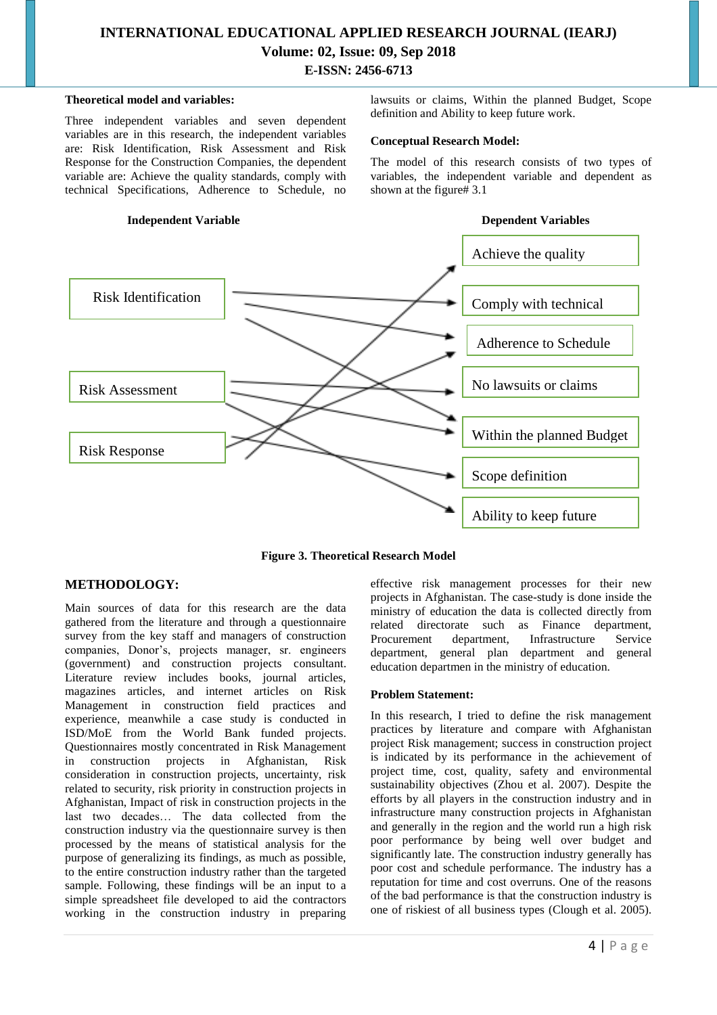#### **Theoretical model and variables:**

Three independent variables and seven dependent variables are in this research, the independent variables are: Risk Identification, Risk Assessment and Risk Response for the Construction Companies, the dependent variable are: Achieve the quality standards, comply with technical Specifications, Adherence to Schedule, no

#### **Independent Variable Dependent Variables**

lawsuits or claims, Within the planned Budget, Scope definition and Ability to keep future work.

#### **Conceptual Research Model:**

The model of this research consists of two types of variables, the independent variable and dependent as shown at the figure# 3.1



**Figure 3. Theoretical Research Model**

#### **METHODOLOGY:**

Main sources of data for this research are the data gathered from the literature and through a questionnaire survey from the key staff and managers of construction companies, Donor's, projects manager, sr. engineers (government) and construction projects consultant. Literature review includes books, journal articles, magazines articles, and internet articles on Risk Management in construction field practices and experience, meanwhile a case study is conducted in ISD/MoE from the World Bank funded projects. Questionnaires mostly concentrated in Risk Management in construction projects in Afghanistan, Risk consideration in construction projects, uncertainty, risk related to security, risk priority in construction projects in Afghanistan, Impact of risk in construction projects in the last two decades… The data collected from the construction industry via the questionnaire survey is then processed by the means of statistical analysis for the purpose of generalizing its findings, as much as possible, to the entire construction industry rather than the targeted sample. Following, these findings will be an input to a simple spreadsheet file developed to aid the contractors working in the construction industry in preparing

effective risk management processes for their new projects in Afghanistan. The case-study is done inside the ministry of education the data is collected directly from related directorate such as Finance department, Infrastructure department, general plan department and general education departmen in the ministry of education.

#### **Problem Statement:**

In this research, I tried to define the risk management practices by literature and compare with Afghanistan project Risk management; success in construction project is indicated by its performance in the achievement of project time, cost, quality, safety and environmental sustainability objectives (Zhou et al. 2007). Despite the efforts by all players in the construction industry and in infrastructure many construction projects in Afghanistan and generally in the region and the world run a high risk poor performance by being well over budget and significantly late. The construction industry generally has poor cost and schedule performance. The industry has a reputation for time and cost overruns. One of the reasons of the bad performance is that the construction industry is one of riskiest of all business types (Clough et al. 2005).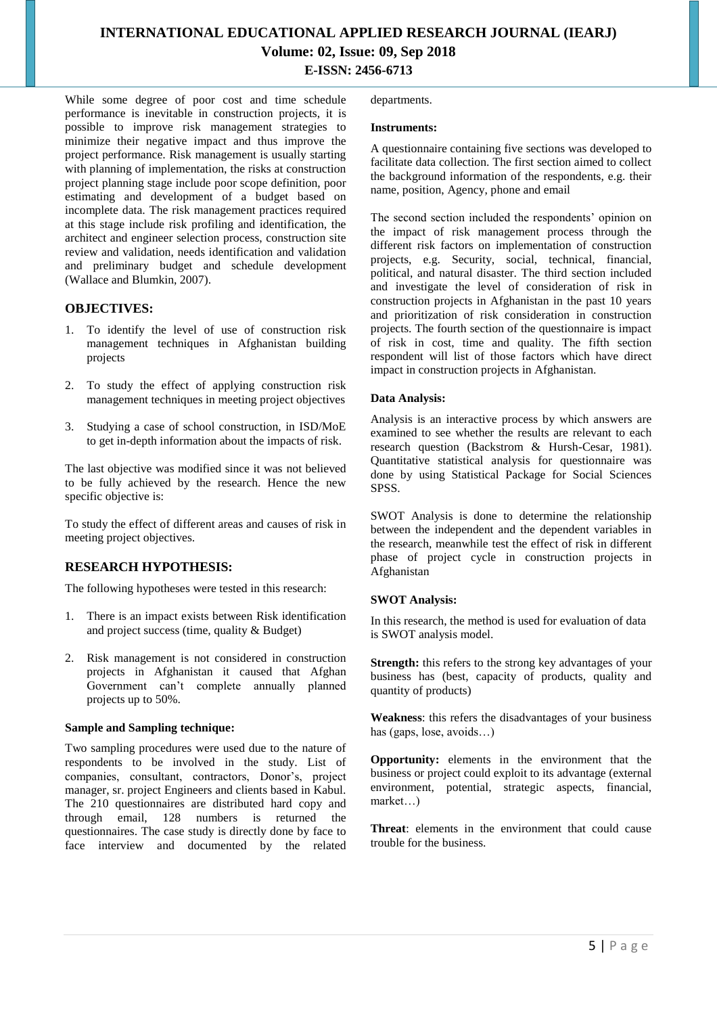While some degree of poor cost and time schedule performance is inevitable in construction projects, it is possible to improve risk management strategies to minimize their negative impact and thus improve the project performance. Risk management is usually starting with planning of implementation, the risks at construction project planning stage include poor scope definition, poor estimating and development of a budget based on incomplete data. The risk management practices required at this stage include risk profiling and identification, the architect and engineer selection process, construction site review and validation, needs identification and validation and preliminary budget and schedule development (Wallace and Blumkin, 2007).

#### **OBJECTIVES:**

- 1. To identify the level of use of construction risk management techniques in Afghanistan building projects
- 2. To study the effect of applying construction risk management techniques in meeting project objectives
- 3. Studying a case of school construction, in ISD/MoE to get in-depth information about the impacts of risk.

The last objective was modified since it was not believed to be fully achieved by the research. Hence the new specific objective is:

To study the effect of different areas and causes of risk in meeting project objectives.

#### **RESEARCH HYPOTHESIS:**

The following hypotheses were tested in this research:

- 1. There is an impact exists between Risk identification and project success (time, quality & Budget)
- 2. Risk management is not considered in construction projects in Afghanistan it caused that Afghan Government can't complete annually planned projects up to 50%.

#### **Sample and Sampling technique:**

Two sampling procedures were used due to the nature of respondents to be involved in the study. List of companies, consultant, contractors, Donor's, project manager, sr. project Engineers and clients based in Kabul. The 210 questionnaires are distributed hard copy and through email, 128 numbers is returned the questionnaires. The case study is directly done by face to face interview and documented by the related

departments.

#### **Instruments:**

A questionnaire containing five sections was developed to facilitate data collection. The first section aimed to collect the background information of the respondents, e.g. their name, position, Agency, phone and email

The second section included the respondents' opinion on the impact of risk management process through the different risk factors on implementation of construction projects, e.g. Security, social, technical, financial, political, and natural disaster. The third section included and investigate the level of consideration of risk in construction projects in Afghanistan in the past 10 years and prioritization of risk consideration in construction projects. The fourth section of the questionnaire is impact of risk in cost, time and quality. The fifth section respondent will list of those factors which have direct impact in construction projects in Afghanistan.

#### **Data Analysis:**

Analysis is an interactive process by which answers are examined to see whether the results are relevant to each research question (Backstrom & Hursh-Cesar, 1981). Quantitative statistical analysis for questionnaire was done by using Statistical Package for Social Sciences SPSS.

SWOT Analysis is done to determine the relationship between the independent and the dependent variables in the research, meanwhile test the effect of risk in different phase of project cycle in construction projects in Afghanistan

#### **SWOT Analysis:**

In this research, the method is used for evaluation of data is SWOT analysis model.

**Strength:** this refers to the strong key advantages of your business has (best, capacity of products, quality and quantity of products)

**Weakness**: this refers the disadvantages of your business has (gaps, lose, avoids…)

**Opportunity:** elements in the environment that the business or project could exploit to its advantage (external environment, potential, strategic aspects, financial, market…)

**Threat**: elements in the environment that could cause trouble for the business.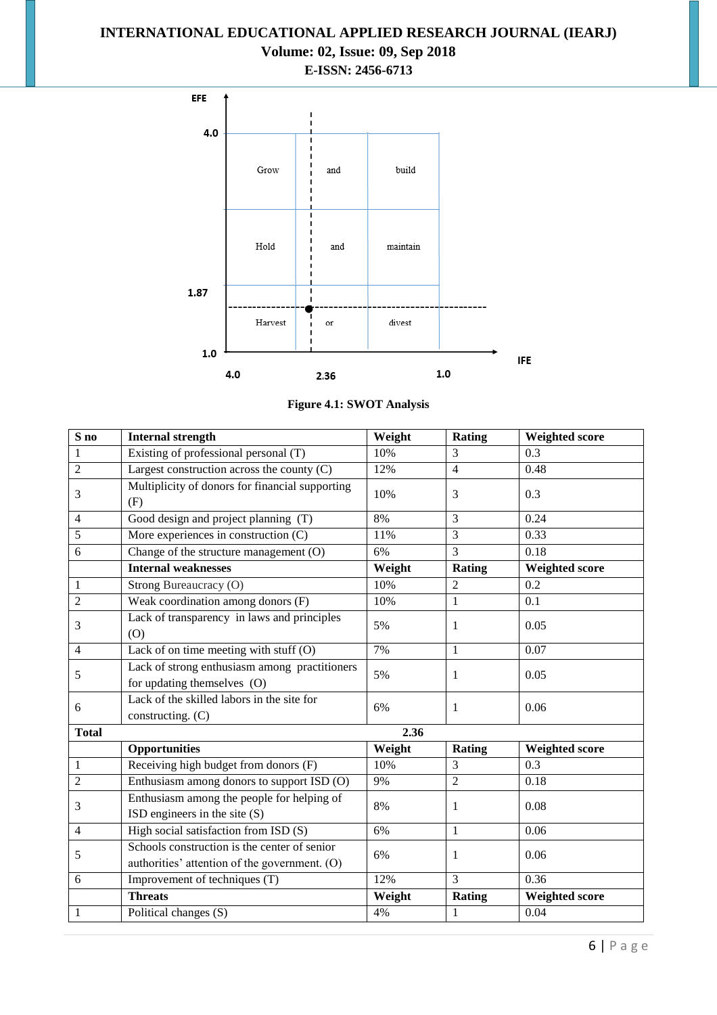## **INTERNATIONAL EDUCATIONAL APPLIED RESEARCH JOURNAL (IEARJ)**

# **Volume: 02, Issue: 09, Sep 2018**

**E-ISSN: 2456-6713**



**Figure 4.1: SWOT Analysis**

| S <sub>no</sub> | <b>Internal strength</b>                                                                      | Weight | Rating         | <b>Weighted score</b> |  |  |  |
|-----------------|-----------------------------------------------------------------------------------------------|--------|----------------|-----------------------|--|--|--|
| 1               | Existing of professional personal (T)                                                         | 10%    | 3              | 0.3                   |  |  |  |
| 2               | Largest construction across the county $(C)$                                                  | 12%    | $\overline{4}$ | 0.48                  |  |  |  |
| 3               | Multiplicity of donors for financial supporting<br>(F)                                        | 10%    | 3              | 0.3                   |  |  |  |
| $\overline{4}$  | Good design and project planning (T)                                                          | 8%     | 3              | 0.24                  |  |  |  |
| 5               | More experiences in construction $(C)$                                                        | 11%    | $\overline{3}$ | 0.33                  |  |  |  |
| 6               | Change of the structure management (O)                                                        | 6%     | 3              | 0.18                  |  |  |  |
|                 | <b>Internal weaknesses</b>                                                                    | Weight | Rating         | <b>Weighted score</b> |  |  |  |
| $\mathbf{1}$    | Strong Bureaucracy (O)                                                                        | 10%    | $\overline{2}$ | 0.2                   |  |  |  |
| $\overline{2}$  | Weak coordination among donors (F)                                                            | 10%    | $\mathbf{1}$   | 0.1                   |  |  |  |
| 3               | Lack of transparency in laws and principles<br>(0)                                            | 5%     | 1              | 0.05                  |  |  |  |
| $\overline{4}$  | Lack of on time meeting with stuff (O)                                                        | 7%     | $\mathbf{1}$   | 0.07                  |  |  |  |
| 5               | Lack of strong enthusiasm among practitioners<br>for updating themselves (O)                  | 5%     | 1              | 0.05                  |  |  |  |
| 6               | Lack of the skilled labors in the site for<br>constructing. (C)                               | 6%     | 1              | 0.06                  |  |  |  |
| <b>Total</b>    | 2.36                                                                                          |        |                |                       |  |  |  |
|                 | <b>Opportunities</b>                                                                          | Weight | Rating         | <b>Weighted score</b> |  |  |  |
| $\mathbf{1}$    | Receiving high budget from donors (F)                                                         | 10%    | 3              | 0.3                   |  |  |  |
| $\overline{2}$  | Enthusiasm among donors to support ISD (O)                                                    | 9%     | $\overline{2}$ | 0.18                  |  |  |  |
| 3               | Enthusiasm among the people for helping of<br>ISD engineers in the site (S)                   | 8%     | 1              | 0.08                  |  |  |  |
| $\overline{4}$  | High social satisfaction from ISD (S)                                                         | 6%     | $\mathbf{1}$   | 0.06                  |  |  |  |
| 5               | Schools construction is the center of senior<br>authorities' attention of the government. (O) | 6%     | 1              | 0.06                  |  |  |  |
| 6               | Improvement of techniques (T)                                                                 | 12%    | 3              | 0.36                  |  |  |  |
|                 | <b>Threats</b>                                                                                | Weight | Rating         | <b>Weighted score</b> |  |  |  |
| $\mathbf{1}$    | Political changes (S)                                                                         | 4%     | $\mathbf{1}$   | 0.04                  |  |  |  |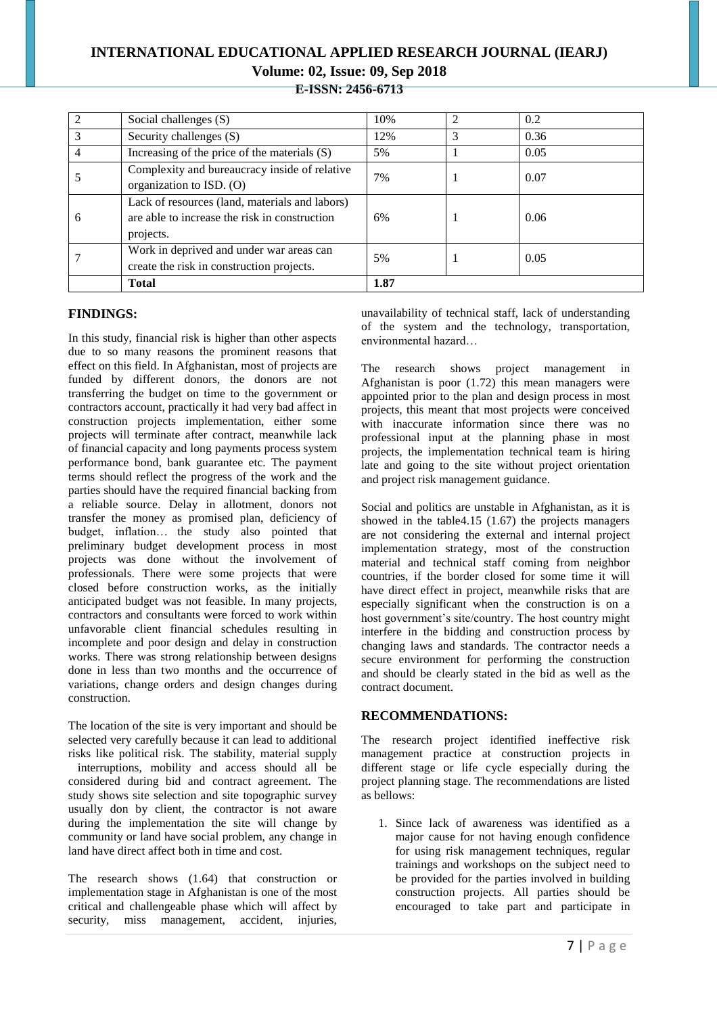**E-ISSN: 2456-6713**

| $\mathfrak{D}$ | Social challenges (S)                                                                                        | 10%  | 2 | 0.2  |
|----------------|--------------------------------------------------------------------------------------------------------------|------|---|------|
|                | Security challenges (S)                                                                                      | 12%  | 3 | 0.36 |
| $\overline{4}$ | Increasing of the price of the materials $(S)$                                                               | 5%   |   | 0.05 |
|                | Complexity and bureaucracy inside of relative<br>organization to ISD. (O)                                    | 7%   |   | 0.07 |
| 6              | Lack of resources (land, materials and labors)<br>are able to increase the risk in construction<br>projects. | 6%   |   | 0.06 |
|                | Work in deprived and under war areas can<br>create the risk in construction projects.                        | 5%   |   | 0.05 |
|                | <b>Total</b>                                                                                                 | 1.87 |   |      |

#### **FINDINGS:**

In this study, financial risk is higher than other aspects due to so many reasons the prominent reasons that effect on this field. In Afghanistan, most of projects are funded by different donors, the donors are not transferring the budget on time to the government or contractors account, practically it had very bad affect in construction projects implementation, either some projects will terminate after contract, meanwhile lack of financial capacity and long payments process system performance bond, bank guarantee etc. The payment terms should reflect the progress of the work and the parties should have the required financial backing from a reliable source. Delay in allotment, donors not transfer the money as promised plan, deficiency of budget, inflation… the study also pointed that preliminary budget development process in most projects was done without the involvement of professionals. There were some projects that were closed before construction works, as the initially anticipated budget was not feasible. In many projects, contractors and consultants were forced to work within unfavorable client financial schedules resulting in incomplete and poor design and delay in construction works. There was strong relationship between designs done in less than two months and the occurrence of variations, change orders and design changes during construction.

The location of the site is very important and should be selected very carefully because it can lead to additional risks like political risk. The stability, material supply

interruptions, mobility and access should all be considered during bid and contract agreement. The study shows site selection and site topographic survey usually don by client, the contractor is not aware during the implementation the site will change by community or land have social problem, any change in land have direct affect both in time and cost.

The research shows (1.64) that construction or implementation stage in Afghanistan is one of the most critical and challengeable phase which will affect by security, miss management, accident, injuries,

unavailability of technical staff, lack of understanding of the system and the technology, transportation, environmental hazard…

The research shows project management in Afghanistan is poor (1.72) this mean managers were appointed prior to the plan and design process in most projects, this meant that most projects were conceived with inaccurate information since there was no professional input at the planning phase in most projects, the implementation technical team is hiring late and going to the site without project orientation and project risk management guidance.

Social and politics are unstable in Afghanistan, as it is showed in the table4.15 (1.67) the projects managers are not considering the external and internal project implementation strategy, most of the construction material and technical staff coming from neighbor countries, if the border closed for some time it will have direct effect in project, meanwhile risks that are especially significant when the construction is on a host government's site/country. The host country might interfere in the bidding and construction process by changing laws and standards. The contractor needs a secure environment for performing the construction and should be clearly stated in the bid as well as the contract document.

#### **RECOMMENDATIONS:**

The research project identified ineffective risk management practice at construction projects in different stage or life cycle especially during the project planning stage. The recommendations are listed as bellows:

1. Since lack of awareness was identified as a major cause for not having enough confidence for using risk management techniques, regular trainings and workshops on the subject need to be provided for the parties involved in building construction projects. All parties should be encouraged to take part and participate in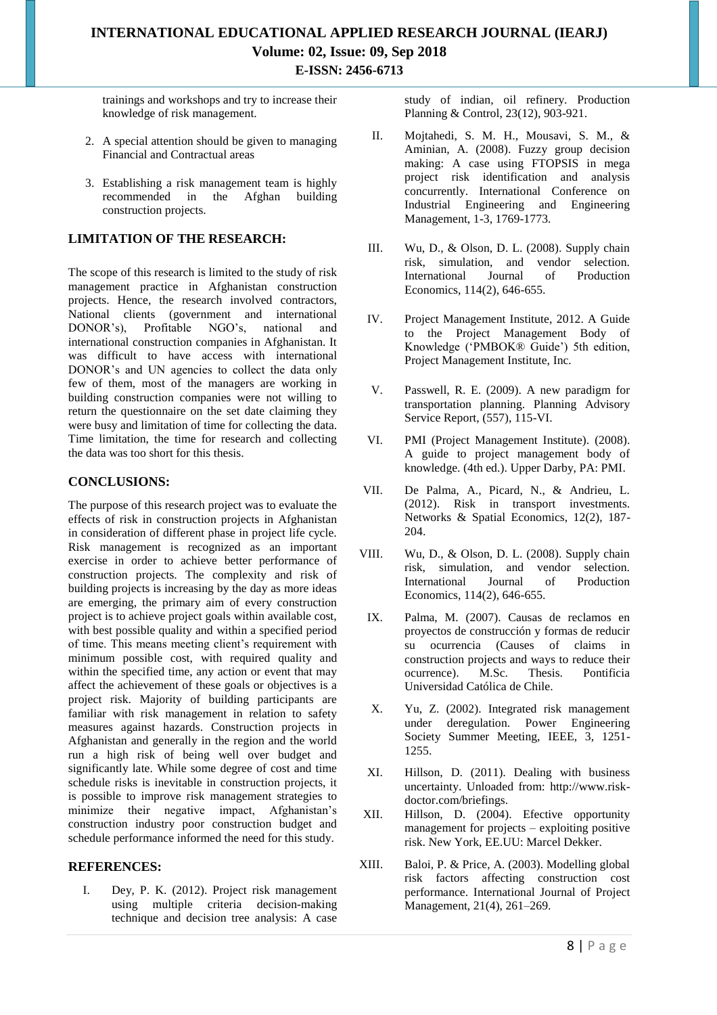trainings and workshops and try to increase their knowledge of risk management.

- 2. A special attention should be given to managing Financial and Contractual areas
- 3. Establishing a risk management team is highly<br>recommended in the Afghan building recommended in the Afghan building construction projects.

#### **LIMITATION OF THE RESEARCH:**

The scope of this research is limited to the study of risk management practice in Afghanistan construction projects. Hence, the research involved contractors, National clients (government and international DONOR's). Profitable NGO's, national and DONOR's) Profitable NGO's national and international construction companies in Afghanistan. It was difficult to have access with international DONOR's and UN agencies to collect the data only few of them, most of the managers are working in building construction companies were not willing to return the questionnaire on the set date claiming they were busy and limitation of time for collecting the data. Time limitation, the time for research and collecting the data was too short for this thesis.

#### **CONCLUSIONS:**

The purpose of this research project was to evaluate the effects of risk in construction projects in Afghanistan in consideration of different phase in project life cycle. Risk management is recognized as an important exercise in order to achieve better performance of construction projects. The complexity and risk of building projects is increasing by the day as more ideas are emerging, the primary aim of every construction project is to achieve project goals within available cost, with best possible quality and within a specified period of time. This means meeting client's requirement with minimum possible cost, with required quality and within the specified time, any action or event that may affect the achievement of these goals or objectives is a project risk. Majority of building participants are familiar with risk management in relation to safety measures against hazards. Construction projects in Afghanistan and generally in the region and the world run a high risk of being well over budget and significantly late. While some degree of cost and time schedule risks is inevitable in construction projects, it is possible to improve risk management strategies to minimize their negative impact, Afghanistan's construction industry poor construction budget and schedule performance informed the need for this study.

#### **REFERENCES:**

I. Dey, P. K. (2012). Project risk management using multiple criteria decision-making technique and decision tree analysis: A case study of indian, oil refinery. Production Planning & Control, 23(12), 903-921.

- II. Mojtahedi, S. M. H., Mousavi, S. M., & Aminian, A. (2008). Fuzzy group decision making: A case using FTOPSIS in mega project risk identification and analysis concurrently. International Conference on Industrial Engineering and Engineering Management, 1-3, 1769-1773.
- III. Wu, D., & Olson, D. L. (2008). Supply chain risk, simulation, and vendor selection. International Journal of Economics, 114(2), 646-655.
- IV. Project Management Institute, 2012. A Guide to the Project Management Body of Knowledge ('PMBOK® Guide') 5th edition, Project Management Institute, Inc.
- V. Passwell, R. E. (2009). A new paradigm for transportation planning. Planning Advisory Service Report, (557), 115-VI.
- VI. PMI (Project Management Institute). (2008). A guide to project management body of knowledge. (4th ed.). Upper Darby, PA: PMI.
- VII. De Palma, A., Picard, N., & Andrieu, L. (2012). Risk in transport investments. Networks & Spatial Economics, 12(2), 187- 204.
- VIII. Wu, D., & Olson, D. L. (2008). Supply chain risk, simulation, and vendor selection. International Journal of Production Economics, 114(2), 646-655.
- IX. Palma, M. (2007). Causas de reclamos en proyectos de construcción y formas de reducir su ocurrencia (Causes of claims in construction projects and ways to reduce their ocurrence). M.Sc. Thesis. Pontificia Universidad Católica de Chile.
- X. Yu, Z. (2002). Integrated risk management under deregulation. Power Engineering Society Summer Meeting, IEEE, 3, 1251- 1255.
- XI. Hillson, D. (2011). Dealing with business uncertainty. Unloaded from: http://www.riskdoctor.com/briefings.
- XII. Hillson, D. (2004). Efective opportunity management for projects – exploiting positive risk. New York, EE.UU: Marcel Dekker.
- XIII. Baloi, P. & Price, A. (2003). Modelling global risk factors affecting construction cost performance. International Journal of Project Management, 21(4), 261–269.